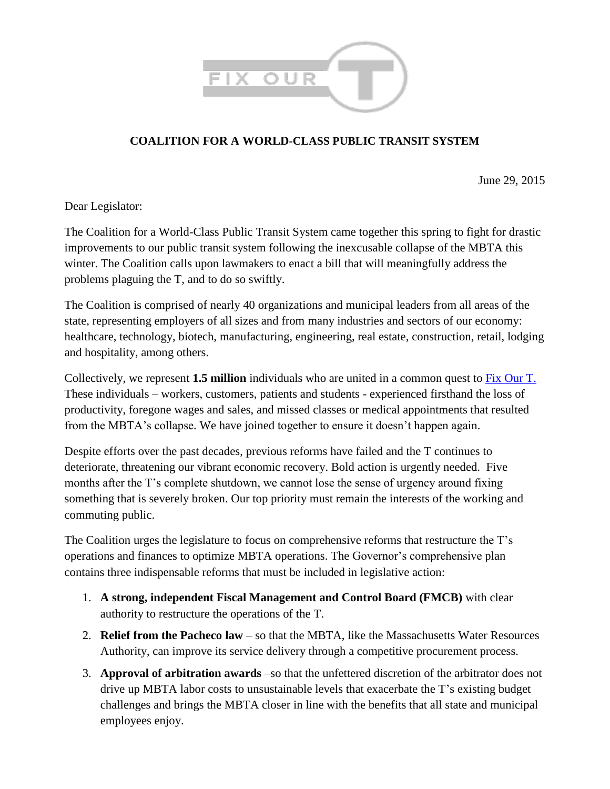

## **COALITION FOR A WORLD-CLASS PUBLIC TRANSIT SYSTEM**

June 29, 2015

Dear Legislator:

The Coalition for a World-Class Public Transit System came together this spring to fight for drastic improvements to our public transit system following the inexcusable collapse of the MBTA this winter. The Coalition calls upon lawmakers to enact a bill that will meaningfully address the problems plaguing the T, and to do so swiftly.

The Coalition is comprised of nearly 40 organizations and municipal leaders from all areas of the state, representing employers of all sizes and from many industries and sectors of our economy: healthcare, technology, biotech, manufacturing, engineering, real estate, construction, retail, lodging and hospitality, among others.

Collectively, we represent **1.5 million** individuals who are united in a common quest to [Fix Our T.](http://fixourt.com/) These individuals – workers, customers, patients and students - experienced firsthand the loss of productivity, foregone wages and sales, and missed classes or medical appointments that resulted from the MBTA's collapse. We have joined together to ensure it doesn't happen again.

Despite efforts over the past decades, previous reforms have failed and the T continues to deteriorate, threatening our vibrant economic recovery. Bold action is urgently needed. Five months after the T's complete shutdown, we cannot lose the sense of urgency around fixing something that is severely broken. Our top priority must remain the interests of the working and commuting public.

The Coalition urges the legislature to focus on comprehensive reforms that restructure the T's operations and finances to optimize MBTA operations. The Governor's comprehensive plan contains three indispensable reforms that must be included in legislative action:

- 1. **A strong, independent Fiscal Management and Control Board (FMCB)** with clear authority to restructure the operations of the T.
- 2. **Relief from the Pacheco law** so that the MBTA, like the Massachusetts Water Resources Authority, can improve its service delivery through a competitive procurement process.
- 3. **Approval of arbitration awards** –so that the unfettered discretion of the arbitrator does not drive up MBTA labor costs to unsustainable levels that exacerbate the T's existing budget challenges and brings the MBTA closer in line with the benefits that all state and municipal employees enjoy.